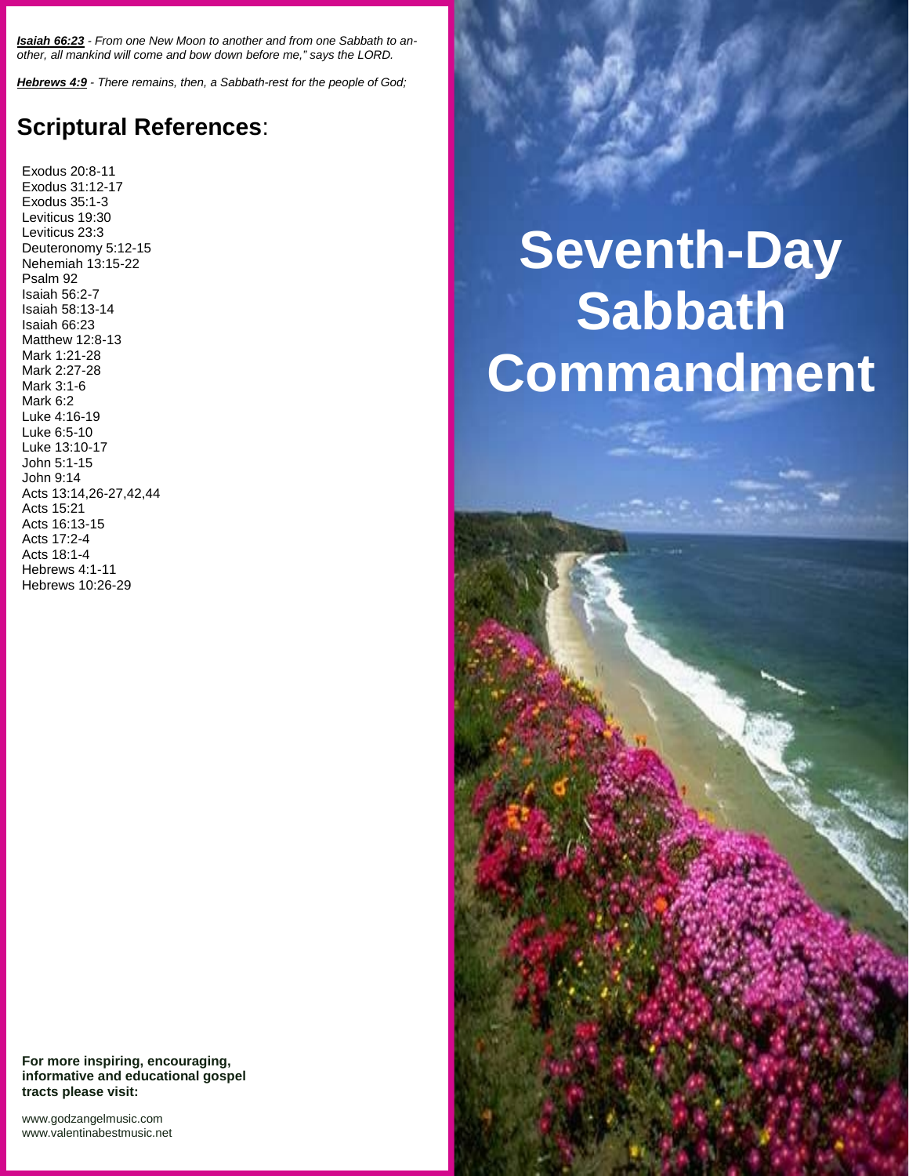*Isaiah 66:23 - From one New Moon to another and from one Sabbath to an other, all mankind will come and bow down before me," says the LORD.*

*Hebrews 4:9 - There remains, then, a Sabbath-rest for the people of God;*

## **Scriptural References**:

Exodus 20:8-11 Exodus 31:12-17 Exodus 35:1-3 Leviticus 19:30 Leviticus 23:3 Deuteronomy 5:12-15 Nehemiah 13:15-22 Psalm 92 Isaiah 56:2-7 Isaiah 58:13-14 Isaiah 66:23 Matthew 12:8-13 Mark 1:21-28 Mark 2:27-28 Mark 3:1-6 Mark 6:2 Luke 4:16-19 Luke 6:5-10 Luke 13:10-17 John 5:1-15 John 9:14 Acts 13:14,26-27,42,44 Acts 15:21 Acts 16:13-15 Acts 17:2-4 Acts 18:1-4 Hebrews 4:1-11 Hebrews 10:26-29

## **Seventh-Day Sabbath Commandment**

**For more inspiring, encouraging, informative and educational gospel tracts please visit:**

<www.godzangelmusic.com> <www.valentinabestmusic.net>